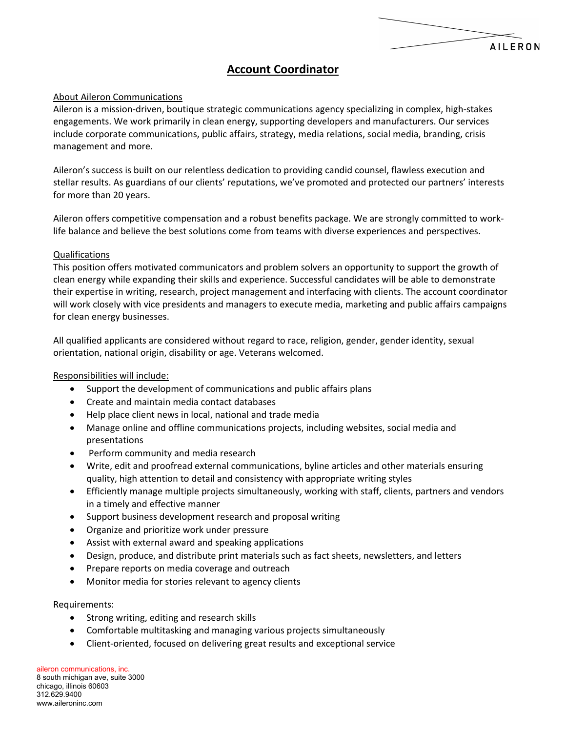# **Account Coordinator**

**AILERON** 

## About Aileron Communications

Aileron is a mission‐driven, boutique strategic communications agency specializing in complex, high‐stakes engagements. We work primarily in clean energy, supporting developers and manufacturers. Our services include corporate communications, public affairs, strategy, media relations, social media, branding, crisis management and more.

Aileron's success is built on our relentless dedication to providing candid counsel, flawless execution and stellar results. As guardians of our clients' reputations, we've promoted and protected our partners' interests for more than 20 years.

Aileron offers competitive compensation and a robust benefits package. We are strongly committed to work‐ life balance and believe the best solutions come from teams with diverse experiences and perspectives.

## Qualifications

This position offers motivated communicators and problem solvers an opportunity to support the growth of clean energy while expanding their skills and experience. Successful candidates will be able to demonstrate their expertise in writing, research, project management and interfacing with clients. The account coordinator will work closely with vice presidents and managers to execute media, marketing and public affairs campaigns for clean energy businesses.

All qualified applicants are considered without regard to race, religion, gender, gender identity, sexual orientation, national origin, disability or age. Veterans welcomed.

## Responsibilities will include:

- Support the development of communications and public affairs plans
- Create and maintain media contact databases
- Help place client news in local, national and trade media
- Manage online and offline communications projects, including websites, social media and presentations
- Perform community and media research
- Write, edit and proofread external communications, byline articles and other materials ensuring quality, high attention to detail and consistency with appropriate writing styles
- Efficiently manage multiple projects simultaneously, working with staff, clients, partners and vendors in a timely and effective manner
- Support business development research and proposal writing
- Organize and prioritize work under pressure
- Assist with external award and speaking applications
- Design, produce, and distribute print materials such as fact sheets, newsletters, and letters
- Prepare reports on media coverage and outreach
- Monitor media for stories relevant to agency clients

## Requirements:

- Strong writing, editing and research skills
- Comfortable multitasking and managing various projects simultaneously
- Client‐oriented, focused on delivering great results and exceptional service

aileron communications, inc. 8 south michigan ave, suite 3000 chicago, illinois 60603 312.629.9400 www.aileroninc.com